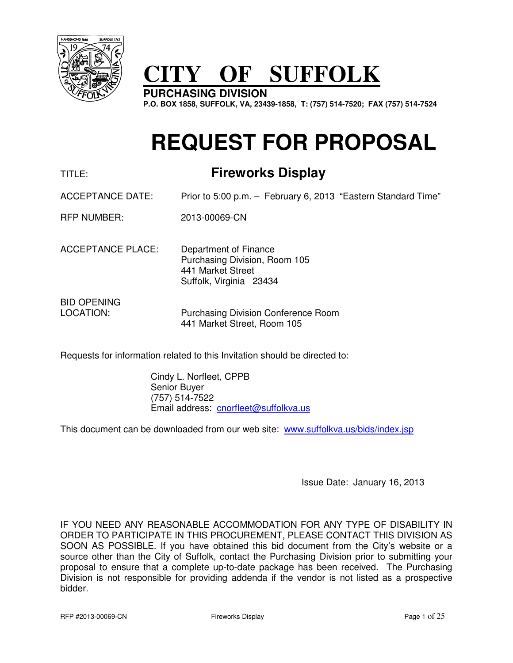

# **CITY OF SUFFOLK**

**PURCHASING DIVISION P.O. BOX 1858, SUFFOLK, VA, 23439-1858, T: (757) 514-7520; FAX (757) 514-7524** 

# **REQUEST FOR PROPOSAL**

# TITLE: **Fireworks Display**

ACCEPTANCE DATE: Prior to 5:00 p.m. – February 6, 2013 "Eastern Standard Time"

RFP NUMBER: 2013-00069-CN

ACCEPTANCE PLACE: Department of Finance Purchasing Division, Room 105 441 Market Street Suffolk, Virginia 23434

BID OPENING

LOCATION: Purchasing Division Conference Room 441 Market Street, Room 105

Requests for information related to this Invitation should be directed to:

 Cindy L. Norfleet, CPPB Senior Buyer (757) 514-7522 Email address: cnorfleet@suffolkva.us

This document can be downloaded from our web site: www.suffolkva.us/bids/index.jsp

Issue Date: January 16, 2013

IF YOU NEED ANY REASONABLE ACCOMMODATION FOR ANY TYPE OF DISABILITY IN ORDER TO PARTICIPATE IN THIS PROCUREMENT, PLEASE CONTACT THIS DIVISION AS SOON AS POSSIBLE. If you have obtained this bid document from the City's website or a source other than the City of Suffolk, contact the Purchasing Division prior to submitting your proposal to ensure that a complete up-to-date package has been received. The Purchasing Division is not responsible for providing addenda if the vendor is not listed as a prospective bidder.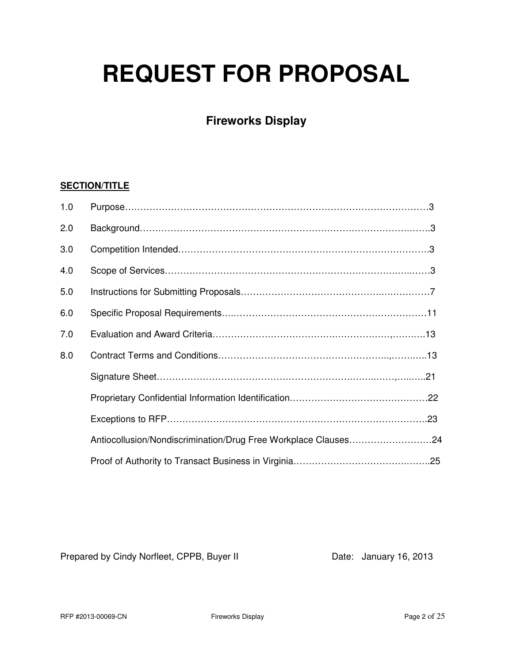# **REQUEST FOR PROPOSAL**

# **Fireworks Display**

# **SECTION/TITLE**

| 1.0 |                                                                |  |
|-----|----------------------------------------------------------------|--|
| 2.0 |                                                                |  |
| 3.0 |                                                                |  |
| 4.0 |                                                                |  |
| 5.0 |                                                                |  |
| 6.0 |                                                                |  |
| 7.0 |                                                                |  |
| 8.0 |                                                                |  |
|     |                                                                |  |
|     |                                                                |  |
|     |                                                                |  |
|     | Antiocollusion/Nondiscrimination/Drug Free Workplace Clauses24 |  |
|     |                                                                |  |

Prepared by Cindy Norfleet, CPPB, Buyer II Date: January 16, 2013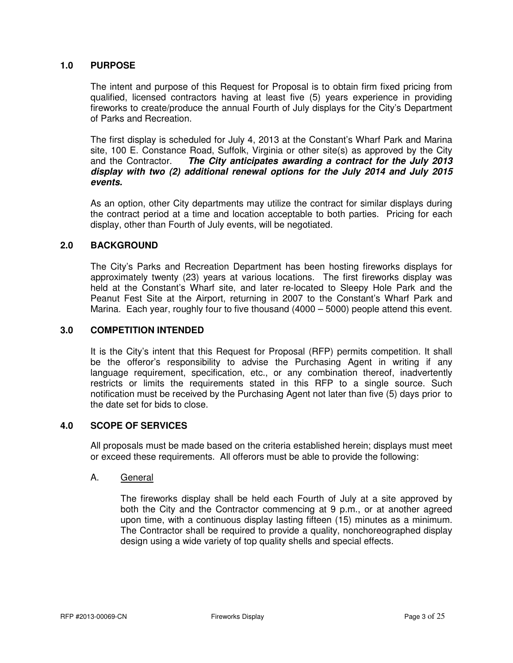# **1.0 PURPOSE**

 The intent and purpose of this Request for Proposal is to obtain firm fixed pricing from qualified, licensed contractors having at least five (5) years experience in providing fireworks to create/produce the annual Fourth of July displays for the City's Department of Parks and Recreation.

 The first display is scheduled for July 4, 2013 at the Constant's Wharf Park and Marina site, 100 E. Constance Road, Suffolk, Virginia or other site(s) as approved by the City and the Contractor. **The City anticipates awarding a contract for the July 2013 display with two (2) additional renewal options for the July 2014 and July 2015 events.** 

 As an option, other City departments may utilize the contract for similar displays during the contract period at a time and location acceptable to both parties. Pricing for each display, other than Fourth of July events, will be negotiated.

# **2.0 BACKGROUND**

 The City's Parks and Recreation Department has been hosting fireworks displays for approximately twenty (23) years at various locations. The first fireworks display was held at the Constant's Wharf site, and later re-located to Sleepy Hole Park and the Peanut Fest Site at the Airport, returning in 2007 to the Constant's Wharf Park and Marina. Each year, roughly four to five thousand (4000 – 5000) people attend this event.

# **3.0 COMPETITION INTENDED**

 It is the City's intent that this Request for Proposal (RFP) permits competition. It shall be the offeror's responsibility to advise the Purchasing Agent in writing if any language requirement, specification, etc., or any combination thereof, inadvertently restricts or limits the requirements stated in this RFP to a single source. Such notification must be received by the Purchasing Agent not later than five (5) days prior to the date set for bids to close.

# **4.0 SCOPE OF SERVICES**

All proposals must be made based on the criteria established herein; displays must meet or exceed these requirements. All offerors must be able to provide the following:

#### A. General

 The fireworks display shall be held each Fourth of July at a site approved by both the City and the Contractor commencing at 9 p.m., or at another agreed upon time, with a continuous display lasting fifteen (15) minutes as a minimum. The Contractor shall be required to provide a quality, nonchoreographed display design using a wide variety of top quality shells and special effects.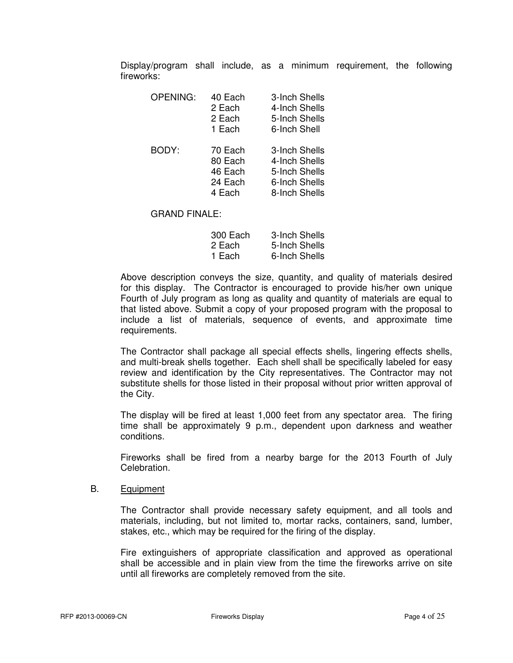Display/program shall include, as a minimum requirement, the following fireworks:

| <b>OPENING:</b> | 40 Each<br>2 Each<br>2 Each<br>1 Each              | 3-Inch Shells<br>4-Inch Shells<br>5-Inch Shells<br>6-Inch Shell                   |
|-----------------|----------------------------------------------------|-----------------------------------------------------------------------------------|
| BODY:           | 70 Each<br>80 Each<br>46 Each<br>24 Each<br>4 Each | 3-Inch Shells<br>4-Inch Shells<br>5-Inch Shells<br>6-Inch Shells<br>8-Inch Shells |

#### GRAND FINALE:

| 300 Each | 3-Inch Shells |
|----------|---------------|
| 2 Each   | 5-Inch Shells |
| -1 Each  | 6-Inch Shells |

 Above description conveys the size, quantity, and quality of materials desired for this display. The Contractor is encouraged to provide his/her own unique Fourth of July program as long as quality and quantity of materials are equal to that listed above. Submit a copy of your proposed program with the proposal to include a list of materials, sequence of events, and approximate time requirements.

 The Contractor shall package all special effects shells, lingering effects shells, and multi-break shells together. Each shell shall be specifically labeled for easy review and identification by the City representatives. The Contractor may not substitute shells for those listed in their proposal without prior written approval of the City.

 The display will be fired at least 1,000 feet from any spectator area. The firing time shall be approximately 9 p.m., dependent upon darkness and weather conditions.

 Fireworks shall be fired from a nearby barge for the 2013 Fourth of July Celebration.

#### B. Equipment

 The Contractor shall provide necessary safety equipment, and all tools and materials, including, but not limited to, mortar racks, containers, sand, lumber, stakes, etc., which may be required for the firing of the display.

 Fire extinguishers of appropriate classification and approved as operational shall be accessible and in plain view from the time the fireworks arrive on site until all fireworks are completely removed from the site.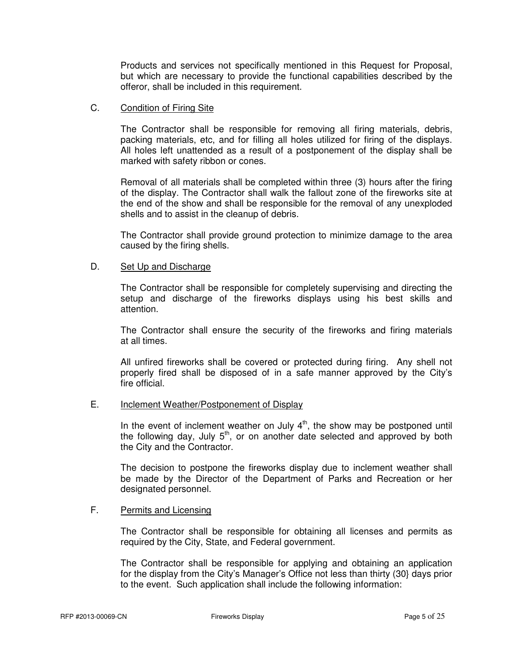Products and services not specifically mentioned in this Request for Proposal, but which are necessary to provide the functional capabilities described by the offeror, shall be included in this requirement.

# C. Condition of Firing Site

 The Contractor shall be responsible for removing all firing materials, debris, packing materials, etc, and for filling all holes utilized for firing of the displays. All holes left unattended as a result of a postponement of the display shall be marked with safety ribbon or cones.

 Removal of all materials shall be completed within three (3) hours after the firing of the display. The Contractor shall walk the fallout zone of the fireworks site at the end of the show and shall be responsible for the removal of any unexploded shells and to assist in the cleanup of debris.

 The Contractor shall provide ground protection to minimize damage to the area caused by the firing shells.

# D. Set Up and Discharge

 The Contractor shall be responsible for completely supervising and directing the setup and discharge of the fireworks displays using his best skills and attention.

 The Contractor shall ensure the security of the fireworks and firing materials at all times.

 All unfired fireworks shall be covered or protected during firing. Any shell not properly fired shall be disposed of in a safe manner approved by the City's fire official.

# E. Inclement Weather/Postponement of Display

In the event of inclement weather on July  $4<sup>th</sup>$ , the show may be postponed until the following day, July  $5<sup>th</sup>$ , or on another date selected and approved by both the City and the Contractor.

 The decision to postpone the fireworks display due to inclement weather shall be made by the Director of the Department of Parks and Recreation or her designated personnel.

# F. Permits and Licensing

 The Contractor shall be responsible for obtaining all licenses and permits as required by the City, State, and Federal government.

 The Contractor shall be responsible for applying and obtaining an application for the display from the City's Manager's Office not less than thirty (30} days prior to the event. Such application shall include the following information: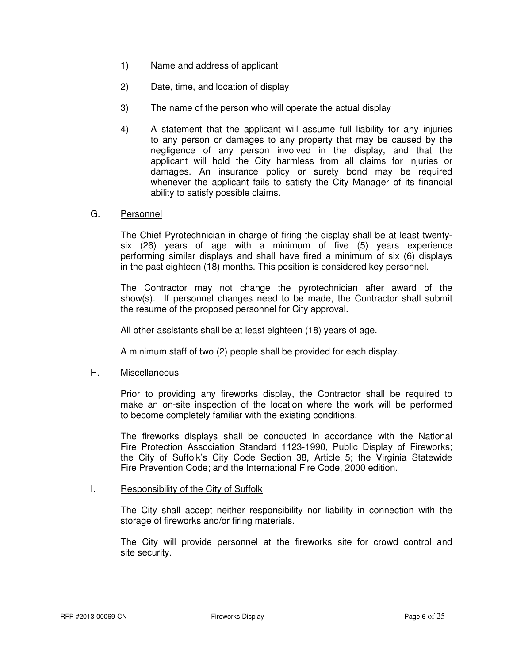- 1) Name and address of applicant
- 2) Date, time, and location of display
- 3) The name of the person who will operate the actual display
- 4) A statement that the applicant will assume full liability for any injuries to any person or damages to any property that may be caused by the negligence of any person involved in the display, and that the applicant will hold the City harmless from all claims for injuries or damages. An insurance policy or surety bond may be required whenever the applicant fails to satisfy the City Manager of its financial ability to satisfy possible claims.

# G. Personnel

 The Chief Pyrotechnician in charge of firing the display shall be at least twenty six (26) years of age with a minimum of five (5) years experience performing similar displays and shall have fired a minimum of six (6) displays in the past eighteen (18) months. This position is considered key personnel.

 The Contractor may not change the pyrotechnician after award of the show(s). If personnel changes need to be made, the Contractor shall submit the resume of the proposed personnel for City approval.

All other assistants shall be at least eighteen (18) years of age.

A minimum staff of two (2) people shall be provided for each display.

# H. Miscellaneous

 Prior to providing any fireworks display, the Contractor shall be required to make an on-site inspection of the location where the work will be performed to become completely familiar with the existing conditions.

 The fireworks displays shall be conducted in accordance with the National Fire Protection Association Standard 1123-1990, Public Display of Fireworks; the City of Suffolk's City Code Section 38, Article 5; the Virginia Statewide Fire Prevention Code; and the International Fire Code, 2000 edition.

# I. Responsibility of the City of Suffolk

 The City shall accept neither responsibility nor liability in connection with the storage of fireworks and/or firing materials.

 The City will provide personnel at the fireworks site for crowd control and site security.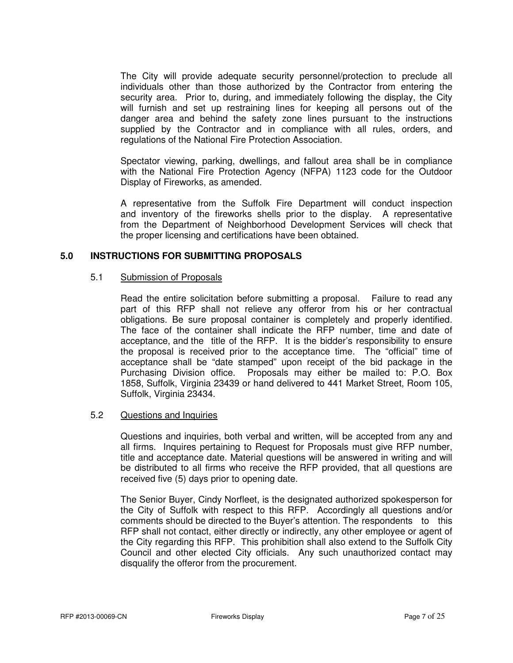The City will provide adequate security personnel/protection to preclude all individuals other than those authorized by the Contractor from entering the security area. Prior to, during, and immediately following the display, the City will furnish and set up restraining lines for keeping all persons out of the danger area and behind the safety zone lines pursuant to the instructions supplied by the Contractor and in compliance with all rules, orders, and regulations of the National Fire Protection Association.

 Spectator viewing, parking, dwellings, and fallout area shall be in compliance with the National Fire Protection Agency (NFPA) 1123 code for the Outdoor Display of Fireworks, as amended.

 A representative from the Suffolk Fire Department will conduct inspection and inventory of the fireworks shells prior to the display. A representative from the Department of Neighborhood Development Services will check that the proper licensing and certifications have been obtained.

# **5.0 INSTRUCTIONS FOR SUBMITTING PROPOSALS**

# 5.1 Submission of Proposals

 Read the entire solicitation before submitting a proposal. Failure to read any part of this RFP shall not relieve any offeror from his or her contractual obligations. Be sure proposal container is completely and properly identified. The face of the container shall indicate the RFP number, time and date of acceptance, and the title of the RFP. It is the bidder's responsibility to ensure the proposal is received prior to the acceptance time. The "official" time of acceptance shall be "date stamped" upon receipt of the bid package in the Purchasing Division office. Proposals may either be mailed to: P.O. Box 1858, Suffolk, Virginia 23439 or hand delivered to 441 Market Street, Room 105, Suffolk, Virginia 23434.

# 5.2 Questions and Inquiries

 Questions and inquiries, both verbal and written, will be accepted from any and all firms. Inquires pertaining to Request for Proposals must give RFP number, title and acceptance date. Material questions will be answered in writing and will be distributed to all firms who receive the RFP provided, that all questions are received five (5) days prior to opening date.

 The Senior Buyer, Cindy Norfleet, is the designated authorized spokesperson for the City of Suffolk with respect to this RFP. Accordingly all questions and/or comments should be directed to the Buyer's attention. The respondents to this RFP shall not contact, either directly or indirectly, any other employee or agent of the City regarding this RFP. This prohibition shall also extend to the Suffolk City Council and other elected City officials. Any such unauthorized contact may disqualify the offeror from the procurement.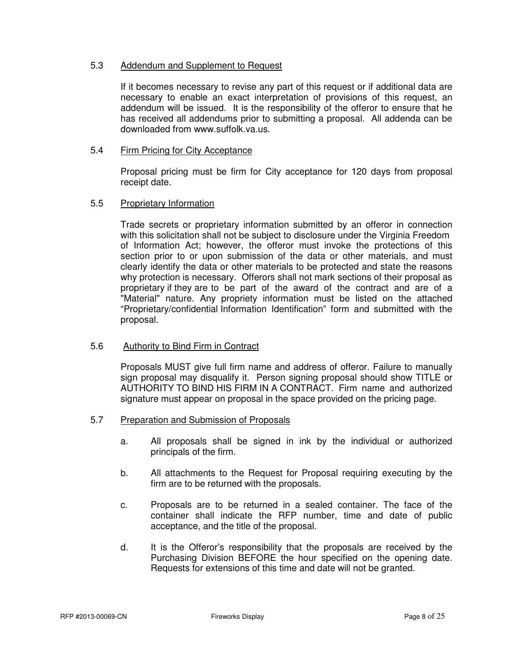# 5.3 Addendum and Supplement to Request

 If it becomes necessary to revise any part of this request or if additional data are necessary to enable an exact interpretation of provisions of this request, an addendum will be issued. It is the responsibility of the offeror to ensure that he has received all addendums prior to submitting a proposal. All addenda can be downloaded from www.suffolk.va.us.

# 5.4 Firm Pricing for City Acceptance

 Proposal pricing must be firm for City acceptance for 120 days from proposal receipt date.

# 5.5 Proprietary Information

 Trade secrets or proprietary information submitted by an offeror in connection with this solicitation shall not be subject to disclosure under the Virginia Freedom of Information Act; however, the offeror must invoke the protections of this section prior to or upon submission of the data or other materials, and must clearly identify the data or other materials to be protected and state the reasons why protection is necessary. Offerors shall not mark sections of their proposal as proprietary if they are to be part of the award of the contract and are of a "Material" nature. Any propriety information must be listed on the attached "Proprietary/confidential Information Identification" form and submitted with the proposal.

# 5.6 Authority to Bind Firm in Contract

 Proposals MUST give full firm name and address of offeror. Failure to manually sign proposal may disqualify it. Person signing proposal should show TITLE or AUTHORITY TO BIND HIS FIRM IN A CONTRACT. Firm name and authorized signature must appear on proposal in the space provided on the pricing page.

- 5.7 Preparation and Submission of Proposals
	- a. All proposals shall be signed in ink by the individual or authorized principals of the firm.
	- b. All attachments to the Request for Proposal requiring executing by the firm are to be returned with the proposals.
	- c. Proposals are to be returned in a sealed container. The face of the container shall indicate the RFP number, time and date of public acceptance, and the title of the proposal.
	- d. It is the Offeror's responsibility that the proposals are received by the Purchasing Division BEFORE the hour specified on the opening date. Requests for extensions of this time and date will not be granted.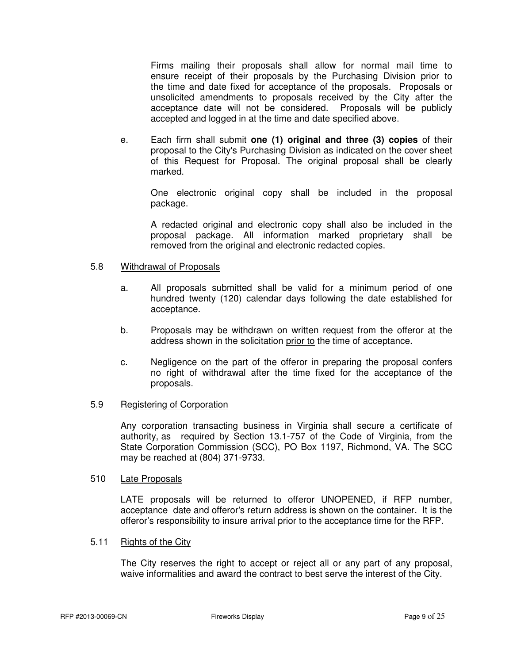Firms mailing their proposals shall allow for normal mail time to ensure receipt of their proposals by the Purchasing Division prior to the time and date fixed for acceptance of the proposals. Proposals or unsolicited amendments to proposals received by the City after the acceptance date will not be considered. Proposals will be publicly accepted and logged in at the time and date specified above.

 e. Each firm shall submit **one (1) original and three (3) copies** of their proposal to the City's Purchasing Division as indicated on the cover sheet of this Request for Proposal. The original proposal shall be clearly marked.

 One electronic original copy shall be included in the proposal package.

 A redacted original and electronic copy shall also be included in the proposal package. All information marked proprietary shall be removed from the original and electronic redacted copies.

# 5.8 Withdrawal of Proposals

- a. All proposals submitted shall be valid for a minimum period of one hundred twenty (120) calendar days following the date established for acceptance.
- b. Proposals may be withdrawn on written request from the offeror at the address shown in the solicitation prior to the time of acceptance.
- c. Negligence on the part of the offeror in preparing the proposal confers no right of withdrawal after the time fixed for the acceptance of the proposals.

# 5.9 Registering of Corporation

 Any corporation transacting business in Virginia shall secure a certificate of authority, as required by Section 13.1-757 of the Code of Virginia, from the State Corporation Commission (SCC), PO Box 1197, Richmond, VA. The SCC may be reached at (804) 371-9733.

# 510 Late Proposals

 LATE proposals will be returned to offeror UNOPENED, if RFP number, acceptance date and offeror's return address is shown on the container. It is the offeror's responsibility to insure arrival prior to the acceptance time for the RFP.

# 5.11 Rights of the City

 The City reserves the right to accept or reject all or any part of any proposal, waive informalities and award the contract to best serve the interest of the City.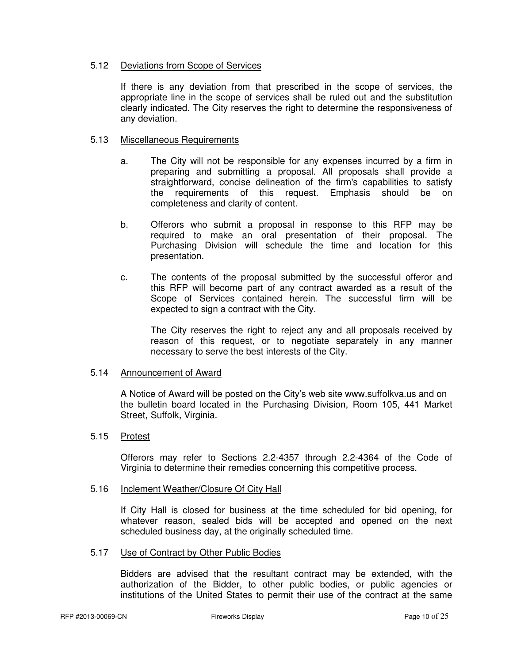# 5.12 Deviations from Scope of Services

 If there is any deviation from that prescribed in the scope of services, the appropriate line in the scope of services shall be ruled out and the substitution clearly indicated. The City reserves the right to determine the responsiveness of any deviation.

# 5.13 Miscellaneous Requirements

- a. The City will not be responsible for any expenses incurred by a firm in preparing and submitting a proposal. All proposals shall provide a straightforward, concise delineation of the firm's capabilities to satisfy the requirements of this request. Emphasis should be on completeness and clarity of content.
- b. Offerors who submit a proposal in response to this RFP may be required to make an oral presentation of their proposal. The Purchasing Division will schedule the time and location for this presentation.
- c. The contents of the proposal submitted by the successful offeror and this RFP will become part of any contract awarded as a result of the Scope of Services contained herein. The successful firm will be expected to sign a contract with the City.

 The City reserves the right to reject any and all proposals received by reason of this request, or to negotiate separately in any manner necessary to serve the best interests of the City.

# 5.14 Announcement of Award

 A Notice of Award will be posted on the City's web site www.suffolkva.us and on the bulletin board located in the Purchasing Division, Room 105, 441 Market Street, Suffolk, Virginia.

# 5.15 Protest

 Offerors may refer to Sections 2.2-4357 through 2.2-4364 of the Code of Virginia to determine their remedies concerning this competitive process.

# 5.16 Inclement Weather/Closure Of City Hall

 If City Hall is closed for business at the time scheduled for bid opening, for whatever reason, sealed bids will be accepted and opened on the next scheduled business day, at the originally scheduled time.

# 5.17 Use of Contract by Other Public Bodies

 Bidders are advised that the resultant contract may be extended, with the authorization of the Bidder, to other public bodies, or public agencies or institutions of the United States to permit their use of the contract at the same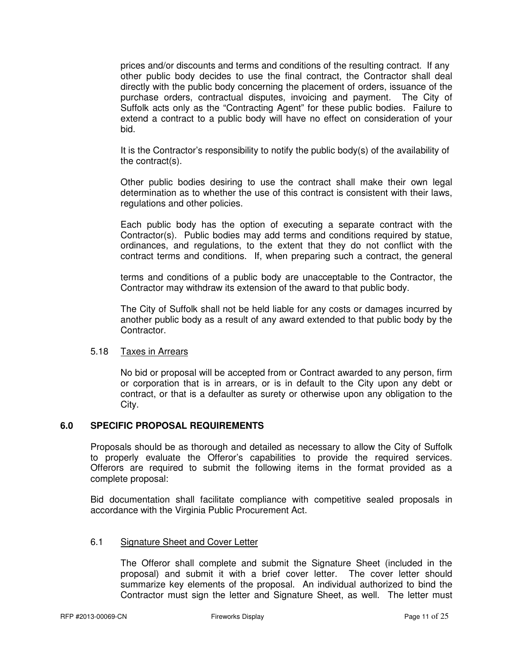prices and/or discounts and terms and conditions of the resulting contract. If any other public body decides to use the final contract, the Contractor shall deal directly with the public body concerning the placement of orders, issuance of the purchase orders, contractual disputes, invoicing and payment. The City of Suffolk acts only as the "Contracting Agent" for these public bodies. Failure to extend a contract to a public body will have no effect on consideration of your bid.

 It is the Contractor's responsibility to notify the public body(s) of the availability of the contract(s).

 Other public bodies desiring to use the contract shall make their own legal determination as to whether the use of this contract is consistent with their laws, regulations and other policies.

 Each public body has the option of executing a separate contract with the Contractor(s). Public bodies may add terms and conditions required by statue, ordinances, and regulations, to the extent that they do not conflict with the contract terms and conditions. If, when preparing such a contract, the general

 terms and conditions of a public body are unacceptable to the Contractor, the Contractor may withdraw its extension of the award to that public body.

 The City of Suffolk shall not be held liable for any costs or damages incurred by another public body as a result of any award extended to that public body by the Contractor.

# 5.18 Taxes in Arrears

No bid or proposal will be accepted from or Contract awarded to any person, firm or corporation that is in arrears, or is in default to the City upon any debt or contract, or that is a defaulter as surety or otherwise upon any obligation to the City.

# **6.0 SPECIFIC PROPOSAL REQUIREMENTS**

Proposals should be as thorough and detailed as necessary to allow the City of Suffolk to properly evaluate the Offeror's capabilities to provide the required services. Offerors are required to submit the following items in the format provided as a complete proposal:

 Bid documentation shall facilitate compliance with competitive sealed proposals in accordance with the Virginia Public Procurement Act.

# 6.1 Signature Sheet and Cover Letter

 The Offeror shall complete and submit the Signature Sheet (included in the proposal) and submit it with a brief cover letter. The cover letter should summarize key elements of the proposal. An individual authorized to bind the Contractor must sign the letter and Signature Sheet, as well. The letter must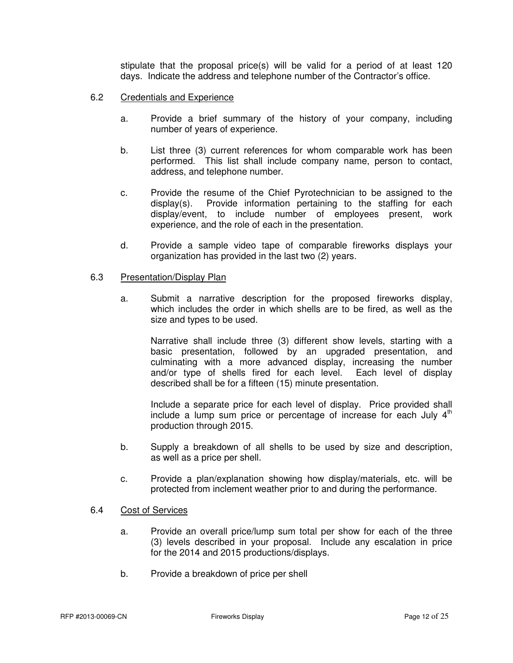stipulate that the proposal price(s) will be valid for a period of at least 120 days. Indicate the address and telephone number of the Contractor's office.

- 6.2 Credentials and Experience
	- a. Provide a brief summary of the history of your company, including number of years of experience.
	- b. List three (3) current references for whom comparable work has been performed. This list shall include company name, person to contact, address, and telephone number.
	- c. Provide the resume of the Chief Pyrotechnician to be assigned to the display(s). Provide information pertaining to the staffing for each display/event, to include number of employees present, work experience, and the role of each in the presentation.
	- d. Provide a sample video tape of comparable fireworks displays your organization has provided in the last two (2) years.

#### 6.3 Presentation/Display Plan

 a. Submit a narrative description for the proposed fireworks display, which includes the order in which shells are to be fired, as well as the size and types to be used.

 Narrative shall include three (3) different show levels, starting with a basic presentation, followed by an upgraded presentation, and culminating with a more advanced display, increasing the number and/or type of shells fired for each level. Each level of display described shall be for a fifteen (15) minute presentation.

 Include a separate price for each level of display. Price provided shall include a lump sum price or percentage of increase for each July  $4<sup>th</sup>$ production through 2015.

- b. Supply a breakdown of all shells to be used by size and description, as well as a price per shell.
- c. Provide a plan/explanation showing how display/materials, etc. will be protected from inclement weather prior to and during the performance.

# 6.4 Cost of Services

- a. Provide an overall price/lump sum total per show for each of the three (3) levels described in your proposal. Include any escalation in price for the 2014 and 2015 productions/displays.
- b. Provide a breakdown of price per shell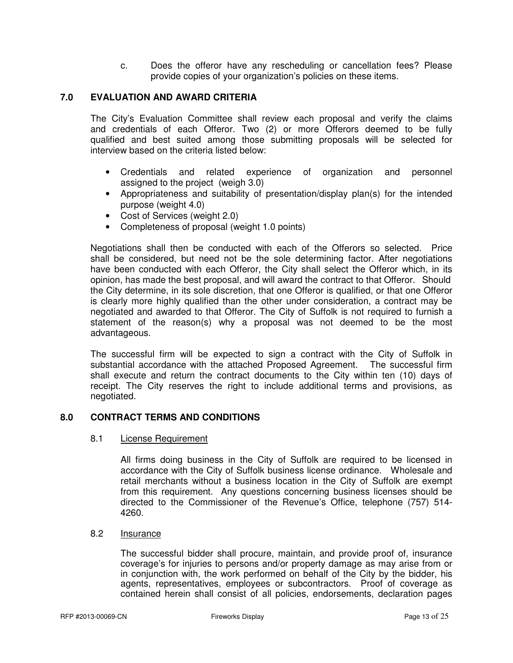c. Does the offeror have any rescheduling or cancellation fees? Please provide copies of your organization's policies on these items.

# **7.0 EVALUATION AND AWARD CRITERIA**

The City's Evaluation Committee shall review each proposal and verify the claims and credentials of each Offeror. Two (2) or more Offerors deemed to be fully qualified and best suited among those submitting proposals will be selected for interview based on the criteria listed below:

- Credentials and related experience of organization and personnel assigned to the project (weigh 3.0)
- Appropriateness and suitability of presentation/display plan(s) for the intended purpose (weight 4.0)
- Cost of Services (weight 2.0)
- Completeness of proposal (weight 1.0 points)

 Negotiations shall then be conducted with each of the Offerors so selected. Price shall be considered, but need not be the sole determining factor. After negotiations have been conducted with each Offeror, the City shall select the Offeror which, in its opinion, has made the best proposal, and will award the contract to that Offeror. Should the City determine, in its sole discretion, that one Offeror is qualified, or that one Offeror is clearly more highly qualified than the other under consideration, a contract may be negotiated and awarded to that Offeror. The City of Suffolk is not required to furnish a statement of the reason(s) why a proposal was not deemed to be the most advantageous.

 The successful firm will be expected to sign a contract with the City of Suffolk in substantial accordance with the attached Proposed Agreement. The successful firm shall execute and return the contract documents to the City within ten (10) days of receipt. The City reserves the right to include additional terms and provisions, as negotiated.

# **8.0 CONTRACT TERMS AND CONDITIONS**

# 8.1 License Requirement

 All firms doing business in the City of Suffolk are required to be licensed in accordance with the City of Suffolk business license ordinance. Wholesale and retail merchants without a business location in the City of Suffolk are exempt from this requirement. Any questions concerning business licenses should be directed to the Commissioner of the Revenue's Office, telephone (757) 514- 4260.

# 8.2 Insurance

 The successful bidder shall procure, maintain, and provide proof of, insurance coverage's for injuries to persons and/or property damage as may arise from or in conjunction with, the work performed on behalf of the City by the bidder, his agents, representatives, employees or subcontractors. Proof of coverage as contained herein shall consist of all policies, endorsements, declaration pages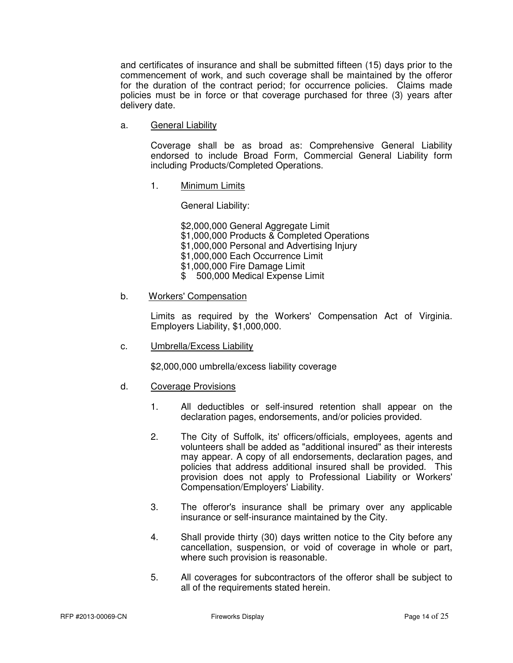and certificates of insurance and shall be submitted fifteen (15) days prior to the commencement of work, and such coverage shall be maintained by the offeror for the duration of the contract period; for occurrence policies. Claims made policies must be in force or that coverage purchased for three (3) years after delivery date.

a. General Liability

 Coverage shall be as broad as: Comprehensive General Liability endorsed to include Broad Form, Commercial General Liability form including Products/Completed Operations.

1. Minimum Limits

General Liability:

 \$2,000,000 General Aggregate Limit \$1,000,000 Products & Completed Operations \$1,000,000 Personal and Advertising Injury \$1,000,000 Each Occurrence Limit \$1,000,000 Fire Damage Limit \$ 500,000 Medical Expense Limit

# b. Workers' Compensation

 Limits as required by the Workers' Compensation Act of Virginia. Employers Liability, \$1,000,000.

c. Umbrella/Excess Liability

\$2,000,000 umbrella/excess liability coverage

- d. Coverage Provisions
	- 1. All deductibles or self-insured retention shall appear on the declaration pages, endorsements, and/or policies provided.
	- 2. The City of Suffolk, its' officers/officials, employees, agents and volunteers shall be added as "additional insured" as their interests may appear. A copy of all endorsements, declaration pages, and policies that address additional insured shall be provided. This provision does not apply to Professional Liability or Workers' Compensation/Employers' Liability.
	- 3. The offeror's insurance shall be primary over any applicable insurance or self-insurance maintained by the City.
	- 4. Shall provide thirty (30) days written notice to the City before any cancellation, suspension, or void of coverage in whole or part, where such provision is reasonable.
	- 5. All coverages for subcontractors of the offeror shall be subject to all of the requirements stated herein.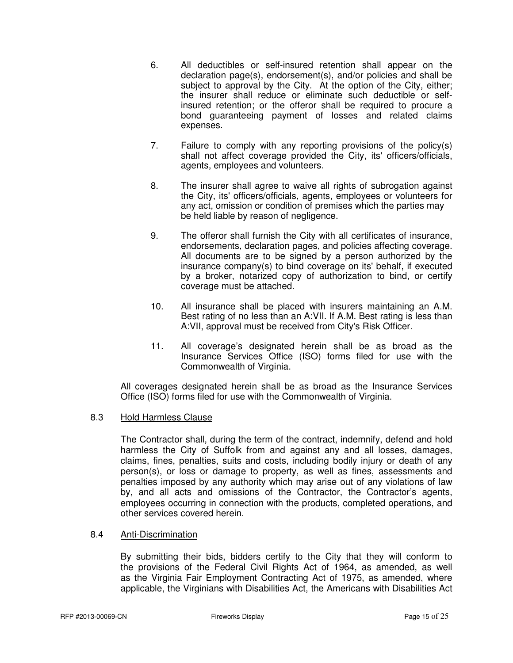- 6. All deductibles or self-insured retention shall appear on the declaration page(s), endorsement(s), and/or policies and shall be subject to approval by the City. At the option of the City, either; the insurer shall reduce or eliminate such deductible or self insured retention; or the offeror shall be required to procure a bond guaranteeing payment of losses and related claims expenses.
- 7. Failure to comply with any reporting provisions of the policy(s) shall not affect coverage provided the City, its' officers/officials, agents, employees and volunteers.
- 8. The insurer shall agree to waive all rights of subrogation against the City, its' officers/officials, agents, employees or volunteers for any act, omission or condition of premises which the parties may be held liable by reason of negligence.
- 9. The offeror shall furnish the City with all certificates of insurance, endorsements, declaration pages, and policies affecting coverage. All documents are to be signed by a person authorized by the insurance company(s) to bind coverage on its' behalf, if executed by a broker, notarized copy of authorization to bind, or certify coverage must be attached.
- 10. All insurance shall be placed with insurers maintaining an A.M. Best rating of no less than an A:VII. If A.M. Best rating is less than A:VII, approval must be received from City's Risk Officer.
- 11. All coverage's designated herein shall be as broad as the Insurance Services Office (ISO) forms filed for use with the Commonwealth of Virginia.

 All coverages designated herein shall be as broad as the Insurance Services Office (ISO) forms filed for use with the Commonwealth of Virginia.

# 8.3 Hold Harmless Clause

The Contractor shall, during the term of the contract, indemnify, defend and hold harmless the City of Suffolk from and against any and all losses, damages, claims, fines, penalties, suits and costs, including bodily injury or death of any person(s), or loss or damage to property, as well as fines, assessments and penalties imposed by any authority which may arise out of any violations of law by, and all acts and omissions of the Contractor, the Contractor's agents, employees occurring in connection with the products, completed operations, and other services covered herein.

# 8.4 Anti-Discrimination

 By submitting their bids, bidders certify to the City that they will conform to the provisions of the Federal Civil Rights Act of 1964, as amended, as well as the Virginia Fair Employment Contracting Act of 1975, as amended, where applicable, the Virginians with Disabilities Act, the Americans with Disabilities Act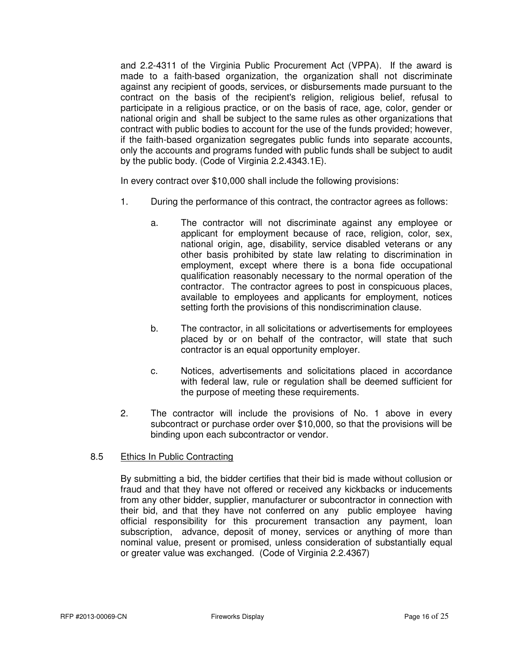and 2.2-4311 of the Virginia Public Procurement Act (VPPA). If the award is made to a faith-based organization, the organization shall not discriminate against any recipient of goods, services, or disbursements made pursuant to the contract on the basis of the recipient's religion, religious belief, refusal to participate in a religious practice, or on the basis of race, age, color, gender or national origin and shall be subject to the same rules as other organizations that contract with public bodies to account for the use of the funds provided; however, if the faith-based organization segregates public funds into separate accounts, only the accounts and programs funded with public funds shall be subject to audit by the public body. (Code of Virginia 2.2.4343.1E).

In every contract over \$10,000 shall include the following provisions:

- 1. During the performance of this contract, the contractor agrees as follows:
	- a. The contractor will not discriminate against any employee or applicant for employment because of race, religion, color, sex, national origin, age, disability, service disabled veterans or any other basis prohibited by state law relating to discrimination in employment, except where there is a bona fide occupational qualification reasonably necessary to the normal operation of the contractor. The contractor agrees to post in conspicuous places, available to employees and applicants for employment, notices setting forth the provisions of this nondiscrimination clause.
	- b. The contractor, in all solicitations or advertisements for employees placed by or on behalf of the contractor, will state that such contractor is an equal opportunity employer.
	- c. Notices, advertisements and solicitations placed in accordance with federal law, rule or regulation shall be deemed sufficient for the purpose of meeting these requirements.
- 2. The contractor will include the provisions of No. 1 above in every subcontract or purchase order over \$10,000, so that the provisions will be binding upon each subcontractor or vendor.

# 8.5 Ethics In Public Contracting

By submitting a bid, the bidder certifies that their bid is made without collusion or fraud and that they have not offered or received any kickbacks or inducements from any other bidder, supplier, manufacturer or subcontractor in connection with their bid, and that they have not conferred on any public employee having official responsibility for this procurement transaction any payment, loan subscription, advance, deposit of money, services or anything of more than nominal value, present or promised, unless consideration of substantially equal or greater value was exchanged. (Code of Virginia 2.2.4367)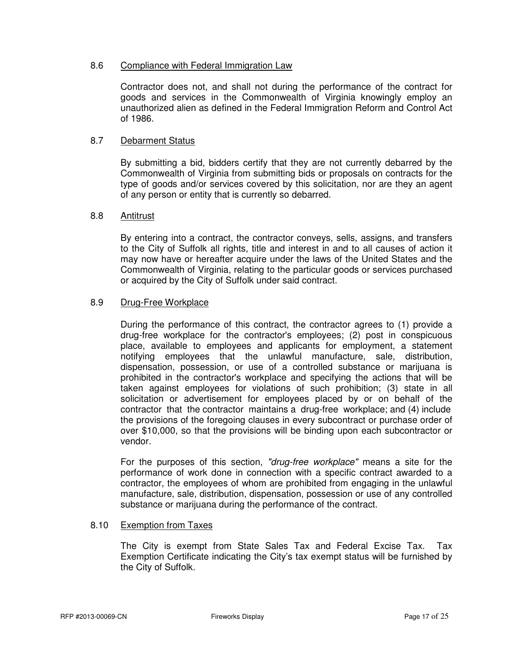# 8.6 Compliance with Federal Immigration Law

Contractor does not, and shall not during the performance of the contract for goods and services in the Commonwealth of Virginia knowingly employ an unauthorized alien as defined in the Federal Immigration Reform and Control Act of 1986.

# 8.7 Debarment Status

By submitting a bid, bidders certify that they are not currently debarred by the Commonwealth of Virginia from submitting bids or proposals on contracts for the type of goods and/or services covered by this solicitation, nor are they an agent of any person or entity that is currently so debarred.

# 8.8 Antitrust

By entering into a contract, the contractor conveys, sells, assigns, and transfers to the City of Suffolk all rights, title and interest in and to all causes of action it may now have or hereafter acquire under the laws of the United States and the Commonwealth of Virginia, relating to the particular goods or services purchased or acquired by the City of Suffolk under said contract.

# 8.9 Drug-Free Workplace

During the performance of this contract, the contractor agrees to (1) provide a drug-free workplace for the contractor's employees; (2) post in conspicuous place, available to employees and applicants for employment, a statement notifying employees that the unlawful manufacture, sale, distribution, dispensation, possession, or use of a controlled substance or marijuana is prohibited in the contractor's workplace and specifying the actions that will be taken against employees for violations of such prohibition; (3) state in all solicitation or advertisement for employees placed by or on behalf of the contractor that the contractor maintains a drug-free workplace; and (4) include the provisions of the foregoing clauses in every subcontract or purchase order of over \$10,000, so that the provisions will be binding upon each subcontractor or vendor.

For the purposes of this section, "drug-free workplace" means a site for the performance of work done in connection with a specific contract awarded to a contractor, the employees of whom are prohibited from engaging in the unlawful manufacture, sale, distribution, dispensation, possession or use of any controlled substance or marijuana during the performance of the contract.

# 8.10 Exemption from Taxes

The City is exempt from State Sales Tax and Federal Excise Tax. Tax Exemption Certificate indicating the City's tax exempt status will be furnished by the City of Suffolk.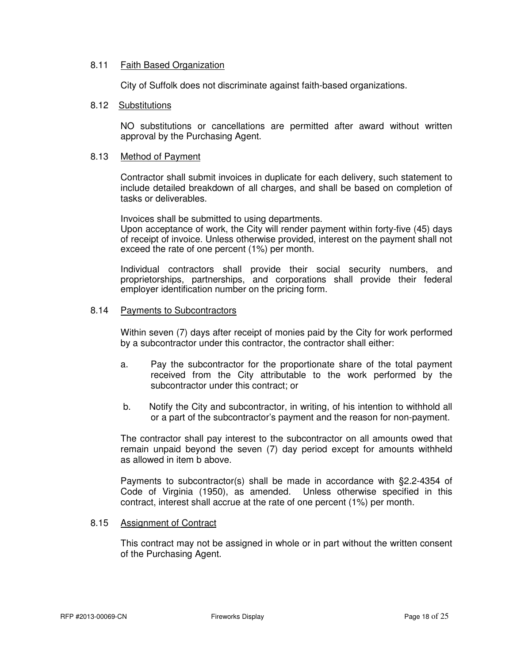# 8.11 Faith Based Organization

City of Suffolk does not discriminate against faith-based organizations.

# 8.12 Substitutions

NO substitutions or cancellations are permitted after award without written approval by the Purchasing Agent.

#### 8.13 Method of Payment

Contractor shall submit invoices in duplicate for each delivery, such statement to include detailed breakdown of all charges, and shall be based on completion of tasks or deliverables.

 Invoices shall be submitted to using departments. Upon acceptance of work, the City will render payment within forty-five (45) days of receipt of invoice. Unless otherwise provided, interest on the payment shall not exceed the rate of one percent (1%) per month.

 Individual contractors shall provide their social security numbers, and proprietorships, partnerships, and corporations shall provide their federal employer identification number on the pricing form.

#### 8.14 Payments to Subcontractors

Within seven (7) days after receipt of monies paid by the City for work performed by a subcontractor under this contractor, the contractor shall either:

- a. Pay the subcontractor for the proportionate share of the total payment received from the City attributable to the work performed by the subcontractor under this contract; or
- b. Notify the City and subcontractor, in writing, of his intention to withhold all or a part of the subcontractor's payment and the reason for non-payment.

The contractor shall pay interest to the subcontractor on all amounts owed that remain unpaid beyond the seven (7) day period except for amounts withheld as allowed in item b above.

Payments to subcontractor(s) shall be made in accordance with §2.2-4354 of Code of Virginia (1950), as amended. Unless otherwise specified in this contract, interest shall accrue at the rate of one percent (1%) per month.

# 8.15 Assignment of Contract

This contract may not be assigned in whole or in part without the written consent of the Purchasing Agent.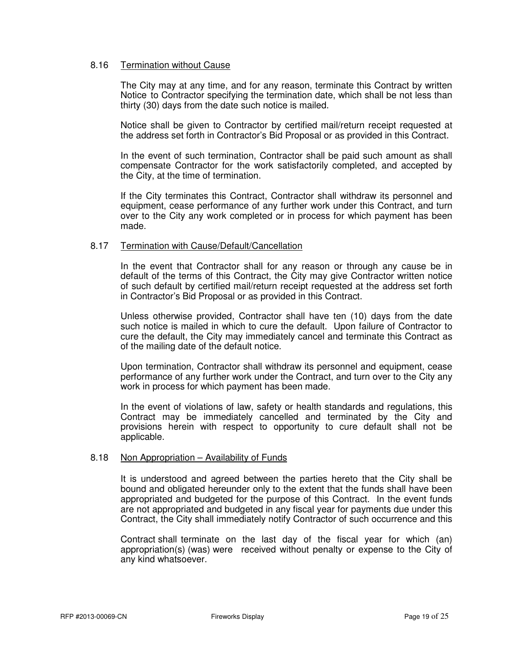# 8.16 Termination without Cause

 The City may at any time, and for any reason, terminate this Contract by written Notice to Contractor specifying the termination date, which shall be not less than thirty (30) days from the date such notice is mailed.

 Notice shall be given to Contractor by certified mail/return receipt requested at the address set forth in Contractor's Bid Proposal or as provided in this Contract.

 In the event of such termination, Contractor shall be paid such amount as shall compensate Contractor for the work satisfactorily completed, and accepted by the City, at the time of termination.

 If the City terminates this Contract, Contractor shall withdraw its personnel and equipment, cease performance of any further work under this Contract, and turn over to the City any work completed or in process for which payment has been made.

# 8.17 Termination with Cause/Default/Cancellation

 In the event that Contractor shall for any reason or through any cause be in default of the terms of this Contract, the City may give Contractor written notice of such default by certified mail/return receipt requested at the address set forth in Contractor's Bid Proposal or as provided in this Contract.

 Unless otherwise provided, Contractor shall have ten (10) days from the date such notice is mailed in which to cure the default. Upon failure of Contractor to cure the default, the City may immediately cancel and terminate this Contract as of the mailing date of the default notice.

 Upon termination, Contractor shall withdraw its personnel and equipment, cease performance of any further work under the Contract, and turn over to the City any work in process for which payment has been made.

 In the event of violations of law, safety or health standards and regulations, this Contract may be immediately cancelled and terminated by the City and provisions herein with respect to opportunity to cure default shall not be applicable.

#### 8.18 Non Appropriation – Availability of Funds

 It is understood and agreed between the parties hereto that the City shall be bound and obligated hereunder only to the extent that the funds shall have been appropriated and budgeted for the purpose of this Contract. In the event funds are not appropriated and budgeted in any fiscal year for payments due under this Contract, the City shall immediately notify Contractor of such occurrence and this

 Contract shall terminate on the last day of the fiscal year for which (an) appropriation(s) (was) were received without penalty or expense to the City of any kind whatsoever.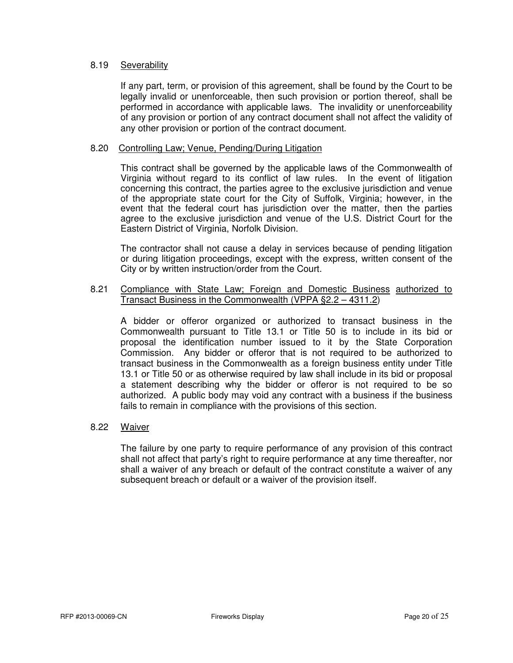# 8.19 Severability

If any part, term, or provision of this agreement, shall be found by the Court to be legally invalid or unenforceable, then such provision or portion thereof, shall be performed in accordance with applicable laws. The invalidity or unenforceability of any provision or portion of any contract document shall not affect the validity of any other provision or portion of the contract document.

# 8.20 Controlling Law; Venue, Pending/During Litigation

 This contract shall be governed by the applicable laws of the Commonwealth of Virginia without regard to its conflict of law rules. In the event of litigation concerning this contract, the parties agree to the exclusive jurisdiction and venue of the appropriate state court for the City of Suffolk, Virginia; however, in the event that the federal court has jurisdiction over the matter, then the parties agree to the exclusive jurisdiction and venue of the U.S. District Court for the Eastern District of Virginia, Norfolk Division.

 The contractor shall not cause a delay in services because of pending litigation or during litigation proceedings, except with the express, written consent of the City or by written instruction/order from the Court.

# 8.21 Compliance with State Law; Foreign and Domestic Business authorized to Transact Business in the Commonwealth (VPPA §2.2 – 4311.2)

 A bidder or offeror organized or authorized to transact business in the Commonwealth pursuant to Title 13.1 or Title 50 is to include in its bid or proposal the identification number issued to it by the State Corporation Commission. Any bidder or offeror that is not required to be authorized to transact business in the Commonwealth as a foreign business entity under Title 13.1 or Title 50 or as otherwise required by law shall include in its bid or proposal a statement describing why the bidder or offeror is not required to be so authorized. A public body may void any contract with a business if the business fails to remain in compliance with the provisions of this section.

# 8.22 Waiver

 The failure by one party to require performance of any provision of this contract shall not affect that party's right to require performance at any time thereafter, nor shall a waiver of any breach or default of the contract constitute a waiver of any subsequent breach or default or a waiver of the provision itself.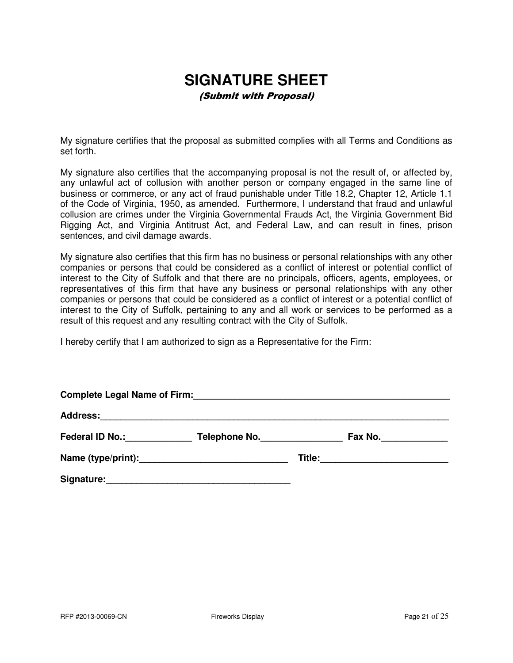# **SIGNATURE SHEET**

(Submit with Proposal)

My signature certifies that the proposal as submitted complies with all Terms and Conditions as set forth.

My signature also certifies that the accompanying proposal is not the result of, or affected by, any unlawful act of collusion with another person or company engaged in the same line of business or commerce, or any act of fraud punishable under Title 18.2, Chapter 12, Article 1.1 of the Code of Virginia, 1950, as amended. Furthermore, I understand that fraud and unlawful collusion are crimes under the Virginia Governmental Frauds Act, the Virginia Government Bid Rigging Act, and Virginia Antitrust Act, and Federal Law, and can result in fines, prison sentences, and civil damage awards.

My signature also certifies that this firm has no business or personal relationships with any other companies or persons that could be considered as a conflict of interest or potential conflict of interest to the City of Suffolk and that there are no principals, officers, agents, employees, or representatives of this firm that have any business or personal relationships with any other companies or persons that could be considered as a conflict of interest or a potential conflict of interest to the City of Suffolk, pertaining to any and all work or services to be performed as a result of this request and any resulting contract with the City of Suffolk.

I hereby certify that I am authorized to sign as a Representative for the Firm:

| <b>Complete Legal Name of Firm:</b> |               |  |         |
|-------------------------------------|---------------|--|---------|
|                                     |               |  |         |
| Federal ID No.: Federal ID No.:     | Telephone No. |  | Fax No. |
|                                     |               |  |         |
| Signature:                          |               |  |         |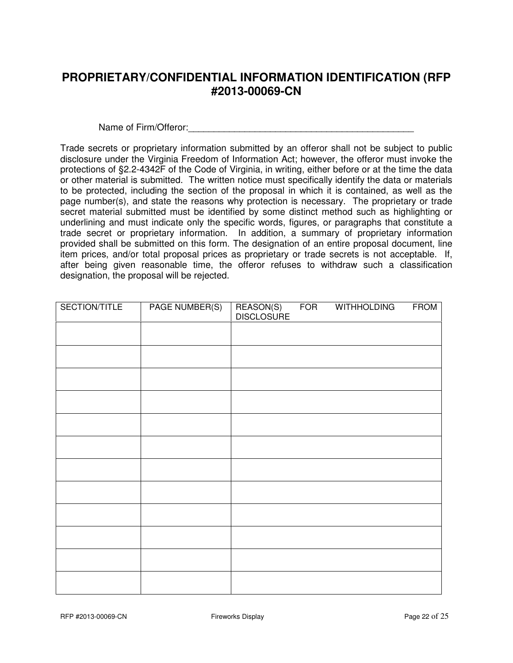# **PROPRIETARY/CONFIDENTIAL INFORMATION IDENTIFICATION (RFP #2013-00069-CN**

Name of Firm/Offeror:\_\_\_\_\_\_\_\_\_\_\_\_\_\_\_\_\_\_\_\_\_\_\_\_\_\_\_\_\_\_\_\_\_\_\_\_\_\_\_\_\_\_\_\_

Trade secrets or proprietary information submitted by an offeror shall not be subject to public disclosure under the Virginia Freedom of Information Act; however, the offeror must invoke the protections of §2.2-4342F of the Code of Virginia, in writing, either before or at the time the data or other material is submitted. The written notice must specifically identify the data or materials to be protected, including the section of the proposal in which it is contained, as well as the page number(s), and state the reasons why protection is necessary. The proprietary or trade secret material submitted must be identified by some distinct method such as highlighting or underlining and must indicate only the specific words, figures, or paragraphs that constitute a trade secret or proprietary information. In addition, a summary of proprietary information provided shall be submitted on this form. The designation of an entire proposal document, line item prices, and/or total proposal prices as proprietary or trade secrets is not acceptable. If, after being given reasonable time, the offeror refuses to withdraw such a classification designation, the proposal will be rejected.

| SECTION/TITLE | <b>PAGE NUMBER(S)</b> | REASON(S)<br>DISCLOSURE | <b>FOR</b> | <b>WITHHOLDING</b> | <b>FROM</b> |
|---------------|-----------------------|-------------------------|------------|--------------------|-------------|
|               |                       |                         |            |                    |             |
|               |                       |                         |            |                    |             |
|               |                       |                         |            |                    |             |
|               |                       |                         |            |                    |             |
|               |                       |                         |            |                    |             |
|               |                       |                         |            |                    |             |
|               |                       |                         |            |                    |             |
|               |                       |                         |            |                    |             |
|               |                       |                         |            |                    |             |
|               |                       |                         |            |                    |             |
|               |                       |                         |            |                    |             |
|               |                       |                         |            |                    |             |
|               |                       |                         |            |                    |             |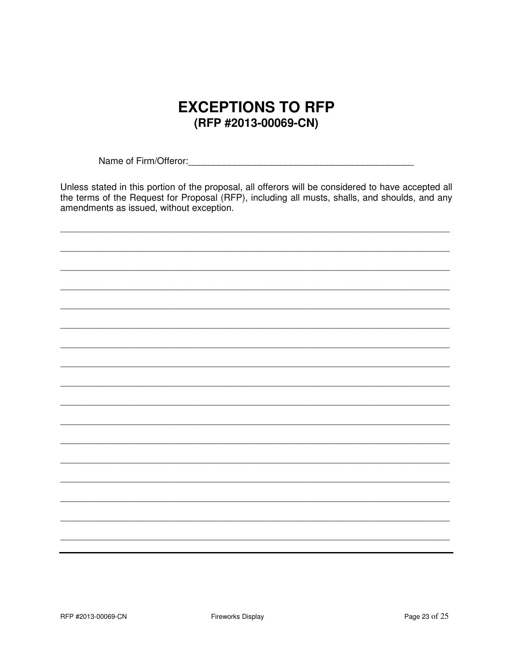# **EXCEPTIONS TO RFP** (RFP #2013-00069-CN)

Unless stated in this portion of the proposal, all offerors will be considered to have accepted all the terms of the Request for Proposal (RFP), including all musts, shalls, and shoulds, and any amendments as issued, without exception.

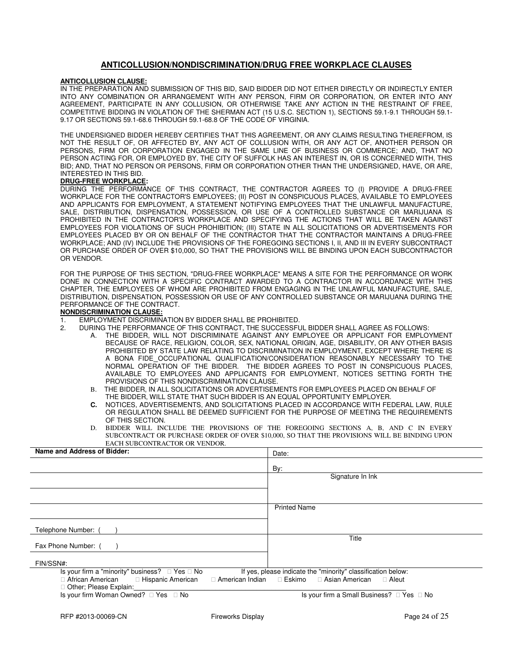#### **ANTICOLLUSION/NONDISCRIMINATION/DRUG FREE WORKPLACE CLAUSES**

#### **ANTICOLLUSION CLAUSE:**

IN THE PREPARATION AND SUBMISSION OF THIS BID, SAID BIDDER DID NOT EITHER DIRECTLY OR INDIRECTLY ENTER INTO ANY COMBINATION OR ARRANGEMENT WITH ANY PERSON, FIRM OR CORPORATION, OR ENTER INTO ANY AGREEMENT, PARTICIPATE IN ANY COLLUSION, OR OTHERWISE TAKE ANY ACTION IN THE RESTRAINT OF FREE, COMPETITIVE BIDDING IN VIOLATION OF THE SHERMAN ACT (15 U.S.C. SECTION 1), SECTIONS 59.1-9.1 THROUGH 59.1- 9.17 OR SECTIONS 59.1-68.6 THROUGH 59.1-68.8 OF THE CODE OF VIRGINIA.

THE UNDERSIGNED BIDDER HEREBY CERTIFIES THAT THIS AGREEMENT, OR ANY CLAIMS RESULTING THEREFROM, IS NOT THE RESULT OF, OR AFFECTED BY, ANY ACT OF COLLUSION WITH, OR ANY ACT OF, ANOTHER PERSON OR PERSONS, FIRM OR CORPORATION ENGAGED IN THE SAME LINE OF BUSINESS OR COMMERCE; AND, THAT NO PERSON ACTING FOR, OR EMPLOYED BY, THE CITY OF SUFFOLK HAS AN INTEREST IN, OR IS CONCERNED WITH, THIS BID; AND, THAT NO PERSON OR PERSONS, FIRM OR CORPORATION OTHER THAN THE UNDERSIGNED, HAVE, OR ARE, INTERESTED IN THIS BID.

#### **DRUG-FREE WORKPLACE:**

DURING THE PERFORMANCE OF THIS CONTRACT, THE CONTRACTOR AGREES TO (I) PROVIDE A DRUG-FREE WORKPLACE FOR THE CONTRACTOR'S EMPLOYEES; (II) POST IN CONSPICUOUS PLACES, AVAILABLE TO EMPLOYEES AND APPLICANTS FOR EMPLOYMENT, A STATEMENT NOTIFYING EMPLOYEES THAT THE UNLAWFUL MANUFACTURE, SALE, DISTRIBUTION, DISPENSATION, POSSESSION, OR USE OF A CONTROLLED SUBSTANCE OR MARIJUANA IS PROHIBITED IN THE CONTRACTOR'S WORKPLACE AND SPECIFYING THE ACTIONS THAT WILL BE TAKEN AGAINST EMPLOYEES FOR VIOLATIONS OF SUCH PROHIBITION; (III) STATE IN ALL SOLICITATIONS OR ADVERTISEMENTS FOR EMPLOYEES PLACED BY OR ON BEHALF OF THE CONTRACTOR THAT THE CONTRACTOR MAINTAINS A DRUG-FREE WORKPLACE; AND (IV) INCLUDE THE PROVISIONS OF THE FOREGOING SECTIONS I, II, AND III IN EVERY SUBCONTRACT OR PURCHASE ORDER OF OVER \$10,000, SO THAT THE PROVISIONS WILL BE BINDING UPON EACH SUBCONTRACTOR OR VENDOR.

FOR THE PURPOSE OF THIS SECTION, "DRUG-FREE WORKPLACE" MEANS A SITE FOR THE PERFORMANCE OR WORK DONE IN CONNECTION WITH A SPECIFIC CONTRACT AWARDED TO A CONTRACTOR IN ACCORDANCE WITH THIS CHAPTER, THE EMPLOYEES OF WHOM ARE PROHIBITED FROM ENGAGING IN THE UNLAWFUL MANUFACTURE, SALE, DISTRIBUTION, DISPENSATION, POSSESSION OR USE OF ANY CONTROLLED SUBSTANCE OR MARIJUANA DURING THE PERFORMANCE OF THE CONTRACT.

#### **NONDISCRIMINATION CLAUSE:**

- 1. EMPLOYMENT DISCRIMINATION BY BIDDER SHALL BE PROHIBITED.
	- 2. DURING THE PERFORMANCE OF THIS CONTRACT, THE SUCCESSFUL BIDDER SHALL AGREE AS FOLLOWS:
		- THE BIDDER, WILL NOT DISCRIMINATE AGAINST ANY EMPLOYEE OR APPLICANT FOR EMPLOYMENT BECAUSE OF RACE, RELIGION, COLOR, SEX, NATIONAL ORIGIN, AGE, DISABILITY, OR ANY OTHER BASIS PROHIBITED BY STATE LAW RELATING TO DISCRIMINATION IN EMPLOYMENT, EXCEPT WHERE THERE IS A BONA FIDE OCCUPATIONAL QUALIFICATION/CONSIDERATION REASONABLY NECESSARY TO THE NORMAL OPERATION OF THE BIDDER. THE BIDDER AGREES TO POST IN CONSPICUOUS PLACES, AVAILABLE TO EMPLOYEES AND APPLICANTS FOR EMPLOYMENT, NOTICES SETTING FORTH THE PROVISIONS OF THIS NONDISCRIMINATION CLAUSE.
		- B. THE BIDDER, IN ALL SOLICITATIONS OR ADVERTISEMENTS FOR EMPLOYEES PLACED ON BEHALF OF THE BIDDER, WILL STATE THAT SUCH BIDDER IS AN EQUAL OPPORTUNITY EMPLOYER.
		- **C.** NOTICES, ADVERTISEMENTS, AND SOLICITATIONS PLACED IN ACCORDANCE WITH FEDERAL LAW, RULE OR REGULATION SHALL BE DEEMED SUFFICIENT FOR THE PURPOSE OF MEETING THE REQUIREMENTS OF THIS SECTION.
		- D. BIDDER WILL INCLUDE THE PROVISIONS OF THE FOREGOING SECTIONS A, B, AND C IN EVERY SUBCONTRACT OR PURCHASE ORDER OF OVER \$10,000, SO THAT THE PROVISIONS WILL BE BINDING UPON EACH SUBCONTRACTOR OR VENDOR.

| Name and Address of Bidder:                                                                                                                   | Date:                                                                                             |  |  |
|-----------------------------------------------------------------------------------------------------------------------------------------------|---------------------------------------------------------------------------------------------------|--|--|
|                                                                                                                                               | By:                                                                                               |  |  |
|                                                                                                                                               | Signature In Ink                                                                                  |  |  |
|                                                                                                                                               |                                                                                                   |  |  |
|                                                                                                                                               | <b>Printed Name</b>                                                                               |  |  |
| Telephone Number: (                                                                                                                           |                                                                                                   |  |  |
| Fax Phone Number: (                                                                                                                           | Title                                                                                             |  |  |
| FIN/SSN#:                                                                                                                                     |                                                                                                   |  |  |
| <b>No</b><br>Is your firm a "minority" business?<br>Yes<br>Hispanic American<br>African American<br>American Indian<br>Other; Please Explain: | If yes, please indicate the "minority" classification below:<br>Eskimo<br>Asian American<br>Aleut |  |  |
| Is your firm Woman Owned?<br>Yes<br>No                                                                                                        | Is your firm a Small Business?<br>No<br>Yes                                                       |  |  |